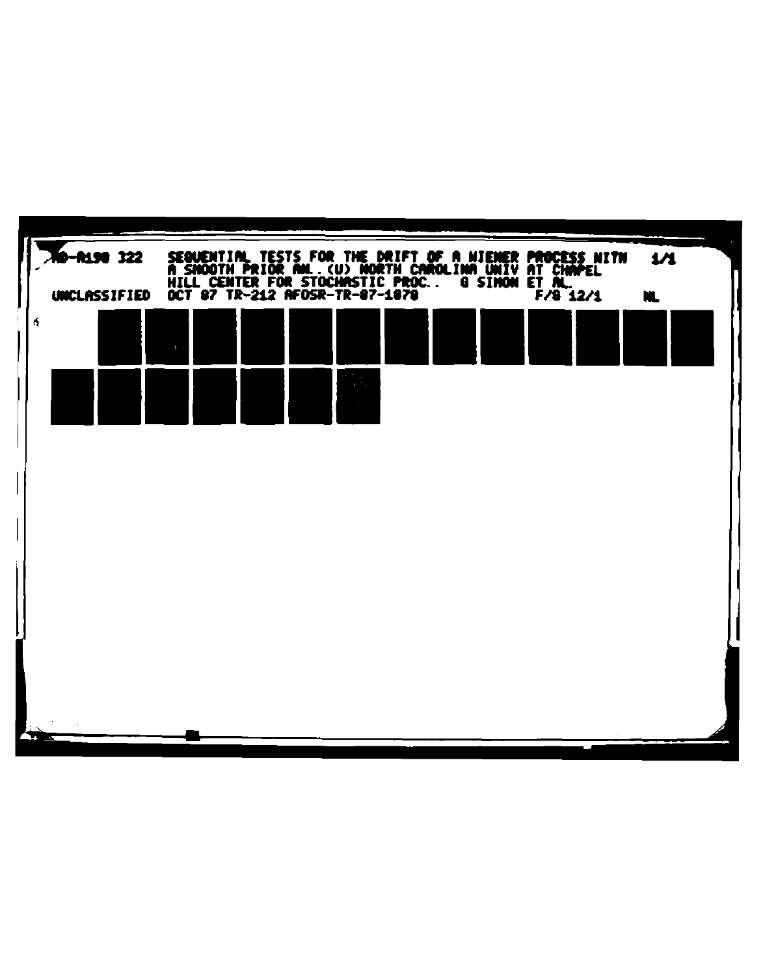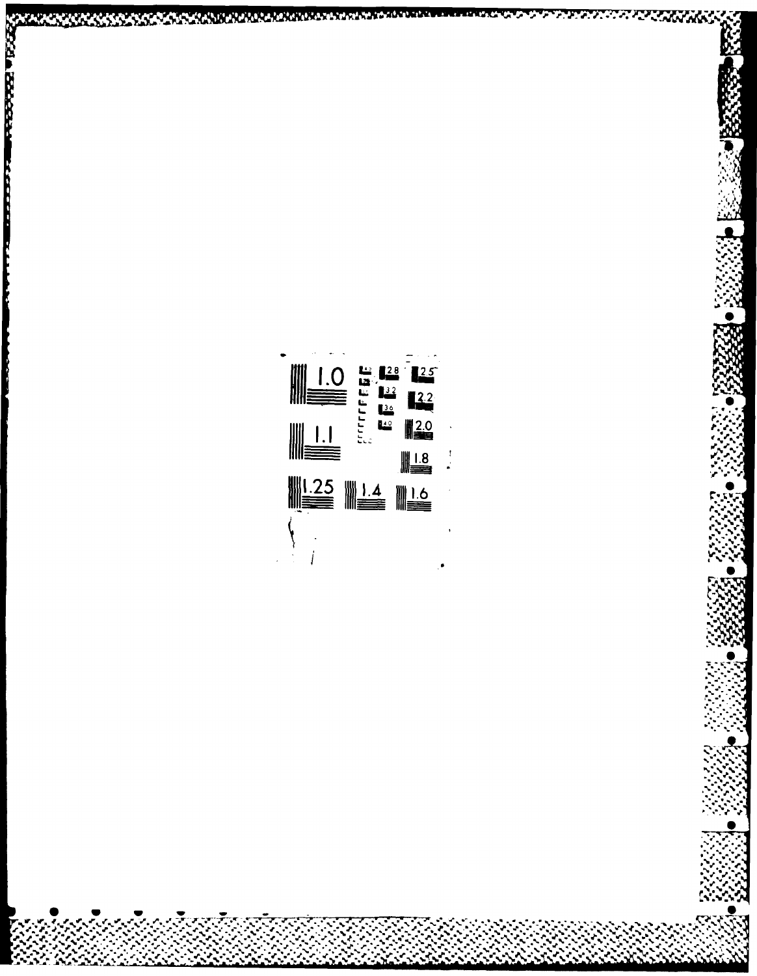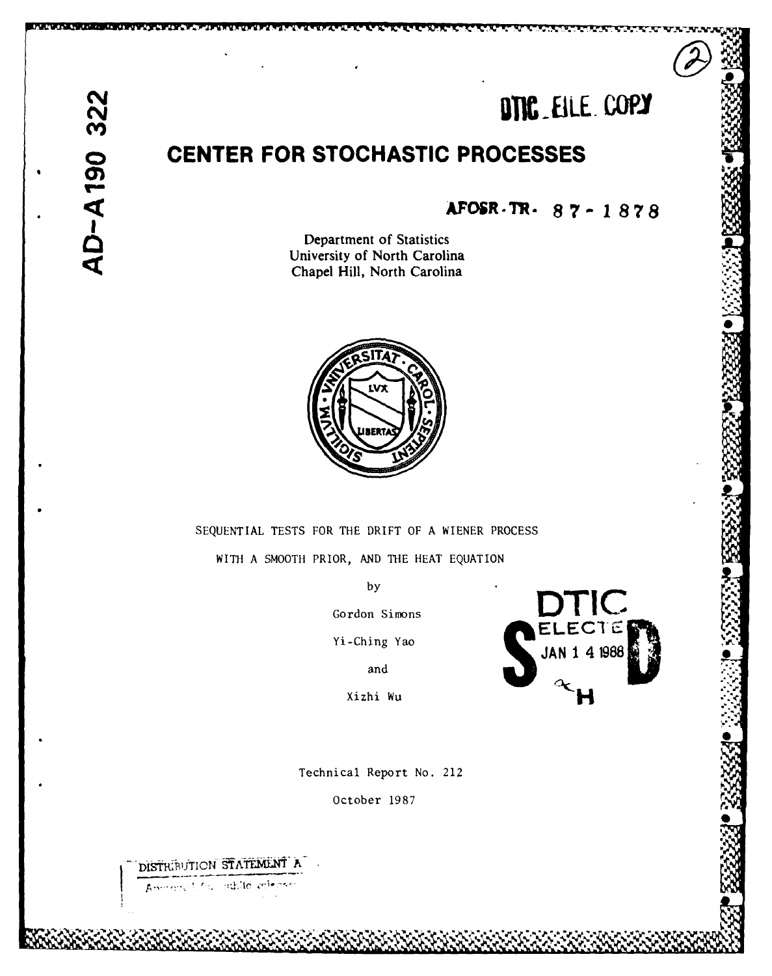## DTIC\_EILE COPY

## **CENTER FOR STOCHASTIC PROCESSES**

## AFOSR-TR- 87-1878

Department of Statistics University of North Carolina Chapel Hill, North Carolina



SEQUENTIAL TESTS FOR THE DRIFT OF A WIENER PROCESS

WITH A SMOOTH PRIOR, AND THE HEAT EQUATION

by

Gordon Simons

Yi-Ching Yao

and

Xizhi Wu



Technical Report No. 212

October 1987

DISTRIBUTION STATEMENT A

Ammond for indite release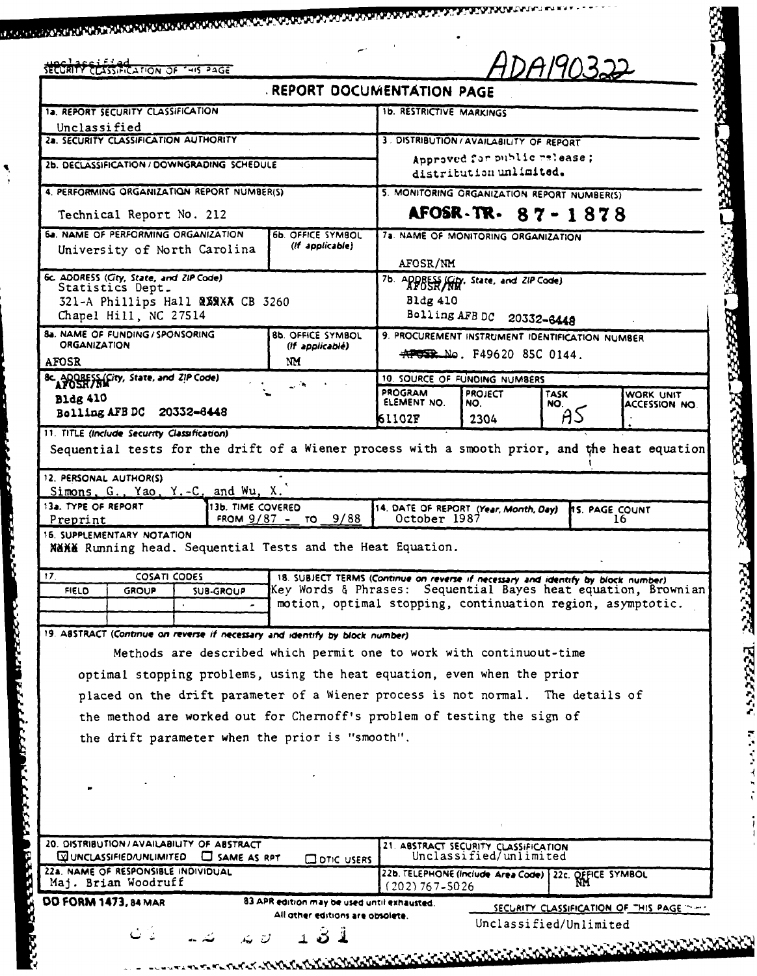| SECURITY CLASSIFICATION OF THIS PAGE                                                                                                                                                            |                   |                                                                                   |                                                                  |                                                       | ADA190322   |                                                               |
|-------------------------------------------------------------------------------------------------------------------------------------------------------------------------------------------------|-------------------|-----------------------------------------------------------------------------------|------------------------------------------------------------------|-------------------------------------------------------|-------------|---------------------------------------------------------------|
|                                                                                                                                                                                                 |                   | <b>REPORT DOCUMENTATION PAGE</b>                                                  |                                                                  |                                                       |             |                                                               |
| 1a. REPORT SECURITY CLASSIFICATION                                                                                                                                                              |                   |                                                                                   | <b>1b. RESTRICTIVE MARKINGS</b>                                  |                                                       |             |                                                               |
| Unclassified<br>2a. SECURITY CLASSIFICATION AUTHORITY                                                                                                                                           |                   |                                                                                   |                                                                  | 3. DISTRIBUTION / AVAILABILITY OF REPORT              |             |                                                               |
| 2b. DECLASSIFICATION / DOWNGRADING SCHEDULE                                                                                                                                                     |                   |                                                                                   |                                                                  | Approved for public release;                          |             |                                                               |
| 4. PERFORMING ORGANIZATION REPORT NUMBER(S)                                                                                                                                                     |                   |                                                                                   |                                                                  | distribution unlimited.                               |             |                                                               |
|                                                                                                                                                                                                 |                   |                                                                                   | 5. MONITORING ORGANIZATION REPORT NUMBER(S)<br>AFOSR-TR- 87-1878 |                                                       |             |                                                               |
| Technical Report No. 212<br><b>6a. NAME OF PERFORMING ORGANIZATION</b>                                                                                                                          |                   | <b>6b. OFFICE SYMBOL</b>                                                          |                                                                  | 7a. NAME OF MONITORING ORGANIZATION                   |             |                                                               |
| University of North Carolina                                                                                                                                                                    |                   | (If applicable)                                                                   |                                                                  |                                                       |             |                                                               |
| 6c. ADDRESS (City, State, and ZIP Code)                                                                                                                                                         |                   |                                                                                   | AFOSR/NM                                                         |                                                       |             |                                                               |
| Statistics Dept.                                                                                                                                                                                |                   |                                                                                   | <b>Bldg 410</b>                                                  | 7b. ADDRESS Gifty, State, and ZIP Code)               |             |                                                               |
| 321-A Phillips Hall @X&XA CB 3260<br>Chapel Hill, NC 27514                                                                                                                                      |                   |                                                                                   | Bolling AFB DC 20332-6448                                        |                                                       |             |                                                               |
| 8a. NAME OF FUNDING / SPONSORING<br><b>ORGANIZATION</b>                                                                                                                                         |                   | 8b. OFFICE SYMBOL<br>(If applicable)                                              |                                                                  | 9. PROCUREMENT INSTRUMENT IDENTIFICATION NUMBER       |             |                                                               |
| <b>AFOSR</b>                                                                                                                                                                                    |                   | NM.                                                                               |                                                                  | <b>APOSR No. F49620 85C 0144.</b>                     |             |                                                               |
| 8c. ADORESS (City, State, and ZIP Code)                                                                                                                                                         |                   |                                                                                   |                                                                  | 10. SOURCE OF FUNDING NUMBERS                         |             |                                                               |
| <b>Bldg 410</b><br>Bolling AFB DC 20332-6448                                                                                                                                                    |                   |                                                                                   | PROGRAM<br>ELEMENT NO.                                           | <b>PROJECT</b><br>NO.                                 | TASK<br>NO. | WORK UNIT<br>ACCESSION NO.                                    |
| 11. TITLE (Include Security Classification)                                                                                                                                                     |                   |                                                                                   | 61102F                                                           | 2304                                                  | AS          |                                                               |
| Sequential tests for the drift of a Wiener process with a smooth prior, and the heat equation<br>12. PERSONAL AUTHOR(S)<br>Simons, G., Yao, Y.-C. and Wu, X.<br>13a. TYPE OF REPORT<br>Preprint | 13b. TIME COVERED | FROM $9/87 - 70$ 9/88                                                             |                                                                  | 14. DATE OF REPORT (Year, Month, Day)                 |             | <b>MS. PAGE COUNT</b><br>16.                                  |
| 16. SUPPLEMENTARY NOTATION<br>NAXA Running head. Sequential Tests and the Heat Equation.                                                                                                        |                   |                                                                                   |                                                                  |                                                       |             |                                                               |
| 17.<br><b>COSATI CODES</b>                                                                                                                                                                      |                   | 18. SUBJECT TERMS (Continue on reverse if necessary and identify by block number) |                                                                  |                                                       |             |                                                               |
| <b>FIELD</b><br><b>GROUP</b>                                                                                                                                                                    | <b>SUB-GROUP</b>  |                                                                                   |                                                                  |                                                       |             | Key Words & Phrases: Sequential Bayes heat equation, Brownian |
|                                                                                                                                                                                                 |                   | motion, optimal stopping, continuation region, asymptotic.                        |                                                                  |                                                       |             |                                                               |
| 19. ABSTRACT (Continue on reverse if necessary and identify by block number)                                                                                                                    |                   |                                                                                   |                                                                  |                                                       |             |                                                               |
| Methods are described which permit one to work with continuout-time                                                                                                                             |                   |                                                                                   |                                                                  |                                                       |             |                                                               |
| optimal stopping problems, using the heat equation, even when the prior                                                                                                                         |                   |                                                                                   |                                                                  |                                                       |             |                                                               |
| placed on the drift parameter of a Wiener process is not normal. The details of                                                                                                                 |                   |                                                                                   |                                                                  |                                                       |             |                                                               |
| the method are worked out for Chernoff's problem of testing the sign of                                                                                                                         |                   |                                                                                   |                                                                  |                                                       |             |                                                               |
| the drift parameter when the prior is "smooth".                                                                                                                                                 |                   |                                                                                   |                                                                  |                                                       |             |                                                               |
|                                                                                                                                                                                                 |                   |                                                                                   |                                                                  |                                                       |             |                                                               |
|                                                                                                                                                                                                 |                   |                                                                                   |                                                                  |                                                       |             |                                                               |
|                                                                                                                                                                                                 |                   |                                                                                   |                                                                  |                                                       |             |                                                               |
| 20. DISTRIBUTION / AVAILABILITY OF ABSTRACT                                                                                                                                                     |                   |                                                                                   |                                                                  | 21. ABSTRACT SECURITY CLASSIFICATION                  |             |                                                               |
| WUNCLASSIFIED/UNLIMITED USAME AS RPT<br>22a. NAME OF RESPONSIBLE INDIVIDUAL                                                                                                                     |                   | <b>COTIC USERS</b>                                                                |                                                                  | Unclassified/unlimited                                |             |                                                               |
| Maj. Brian Woodruff<br><b>DD FORM 1473, 84 MAR</b>                                                                                                                                              |                   | 83 APR edition may be used until exhausted.                                       | $(202)767 - 5026$                                                | 22b. TELEPHONE (Include Area Code) 22c. OFFICE SYMBOL |             |                                                               |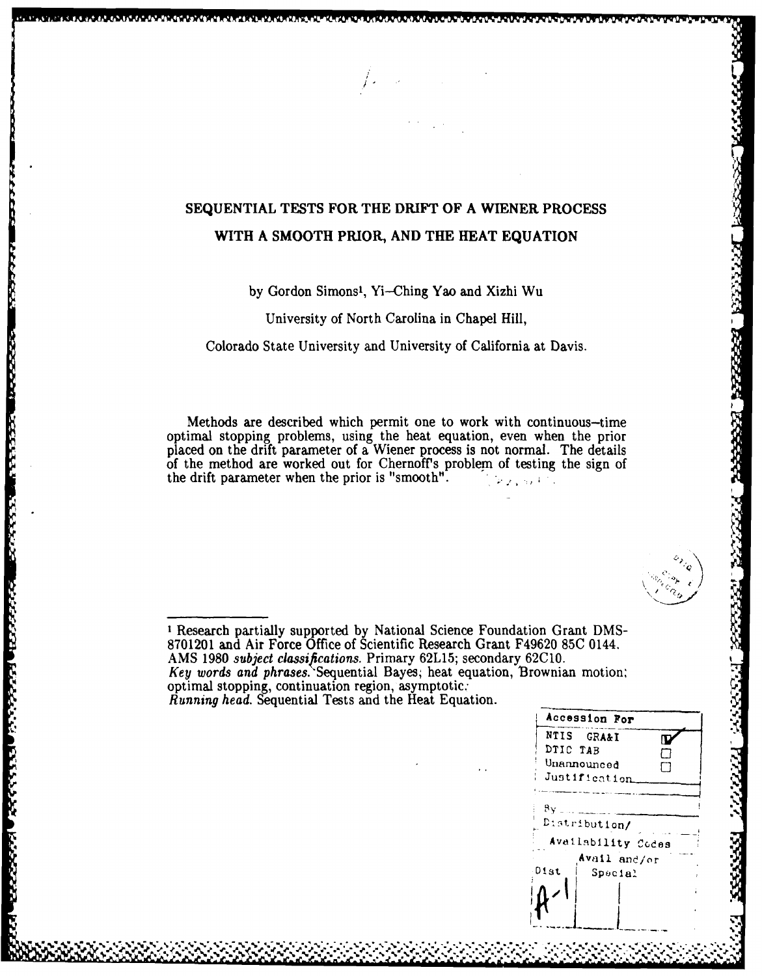

by Gordon Simons', Yi-Ching Yao and Xizhi Wu

University of North Carolina in Chapel Hill,

Colorado State University and University of California at Davis.

**TARGETER** 

*<u><b>PARTS CALL*</u>

**SECRETARY** 

Methods are described which permit one to work with continuous-time optimal stopping problems, using the heat equation, even when the prior placed on the drift parameter of a Wiener process is not normal. The details of the method are worked out for Chernoff's problem of testing the sign of the drift parameter when the prior is "smooth". the drift parameter when the prior is "smooth".



**BAAAAA BAAAA BAAAAA** 

i Research partially supported by National Science Foundation Grant DMS-8701201 and Air Force Office of Scientific Research Grant F49620 85C 0144. **AMS 1980** *subject classifcations.* Primary 62L15; secondary 62C10. *Key words and phrases.* Sequential Bayes; heat equation, 'Brownian motion: optimal stopping, continuation region, asymptotic. *Running head.* Sequential Tests and the Heat Equation.

•~ ~~~~~~~~ . . . . **%** 

| Accession For |                    |  |
|---------------|--------------------|--|
| NTIS GRA&I    |                    |  |
| DTIC TAB      |                    |  |
| Unannounced   |                    |  |
| Justification |                    |  |
|               |                    |  |
| Bv.           |                    |  |
| Distribution/ |                    |  |
|               | Availability Codes |  |
|               | Avail and/or       |  |
| Dist          | Spec1a             |  |
|               |                    |  |
|               |                    |  |
|               |                    |  |
|               |                    |  |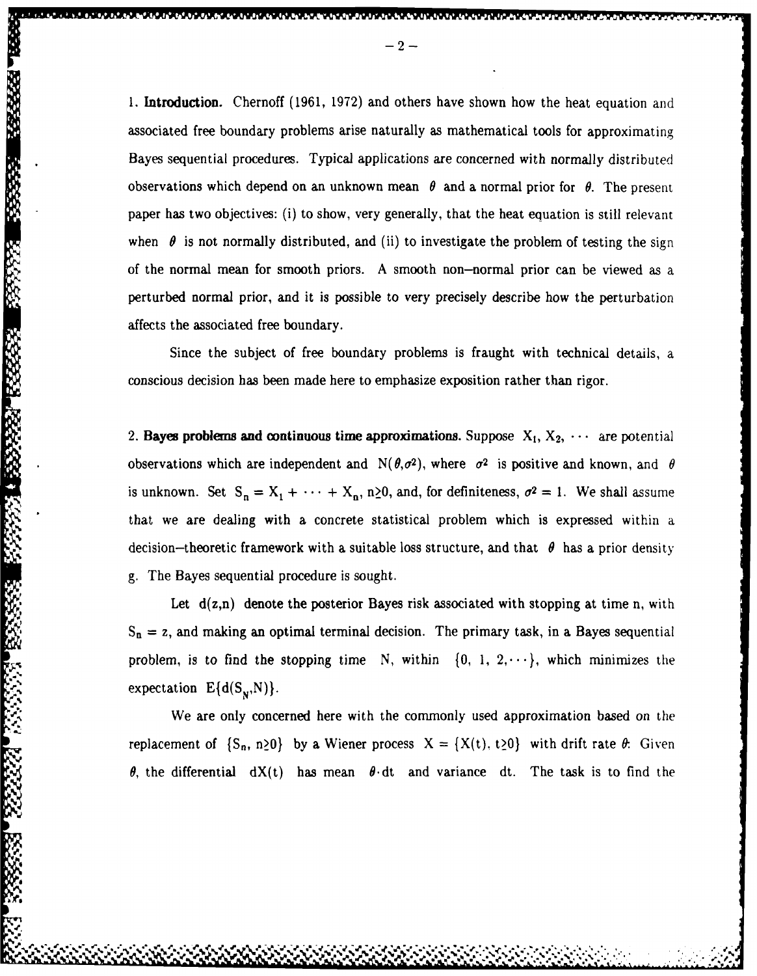1. Introduction. Chernoff (1961, 1972) and others have shown how the heat equation and associated free boundary problems arise naturally as mathematical tools for approximating Bayes sequential procedures. Typical applications are concerned with normally distributed observations which depend on an unknown mean  $\theta$  and a normal prior for  $\theta$ . The present paper has two objectives: (i) to show, very generally, that the heat equation is still relevant when  $\theta$  is not normally distributed, and (ii) to investigate the problem of testing the sign of the normal mean for smooth priors. A smooth non-normal prior can be viewed as a perturbed normal prior, and it is possible to very precisely describe how the perturbation affects the associated free boundary.

Since the subject of free boundary problems is fraught with technical details, a conscious decision has been made here to emphasize exposition rather than rigor.

2. Bayes problems and continuous time approximations. Suppose  $X_1, X_2, \cdots$  are potential observations which are independent and  $N(\theta, \sigma^2)$ , where  $\sigma^2$  is positive and known, and  $\theta$ is unknown. Set  $S_n = X_1 + \cdots + X_n$ , n\20, and, for definiteness,  $\sigma^2 = 1$ . We shall assume that we are dealing with a concrete statistical problem which is expressed within a decision-theoretic framework with a suitable loss structure, and that  $\theta$  has a prior density g. The Bayes sequential procedure is sought.

Let  $d(z,n)$  denote the posterior Bayes risk associated with stopping at time n, with  $S_n = z$ , and making an optimal terminal decision. The primary task, in a Bayes sequential problem, is to find the stopping time N, within  $\{0, 1, 2, \dots\}$ , which minimizes the expectation  $E\{d(S_{\bf w},N)\}.$ 

We are only concerned here with the commonly used approximation based on the replacement of  ${S_n, n \ge 0}$  by a Wiener process  $X = {X(t), t \ge 0}$  with drift rate  $\theta$ . Given  $\theta$ , the differential  $dX(t)$  has mean  $\theta$  dt and variance dt. The task is to find the

**\*1. 2.I\* %**

122222

**CONTROL** 

1999 1999 1999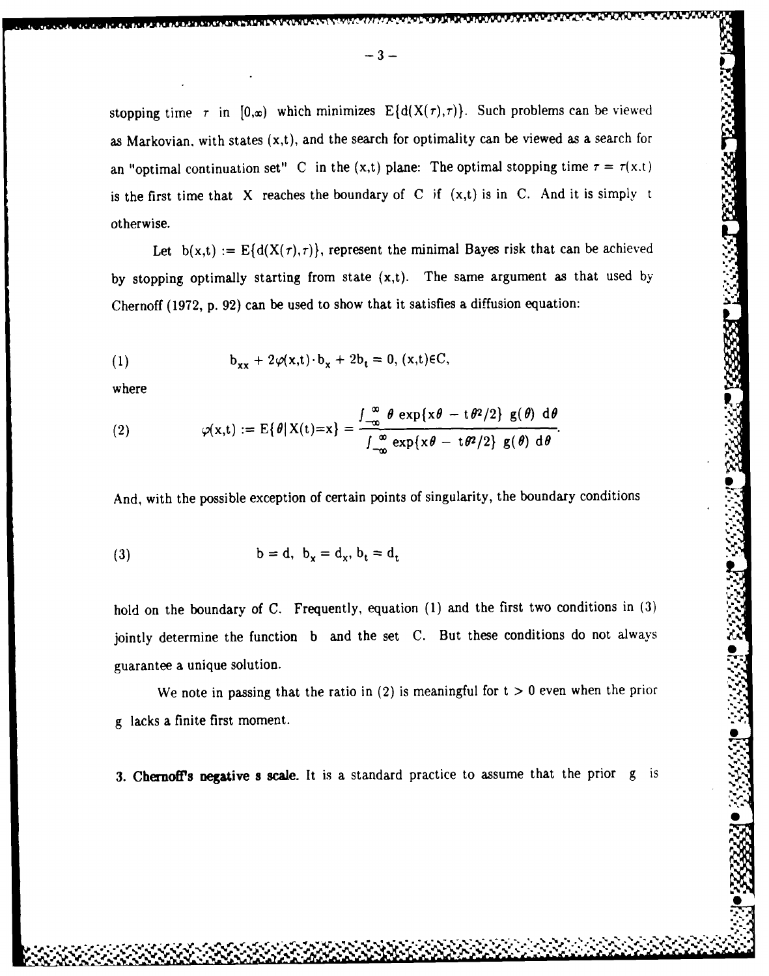stopping time  $r$  in  $[0,\infty)$  which minimizes  $E\{d(X(\tau),\tau)\}\)$ . Such problems can be viewed as Markovian, with states (x,t), and the search for optimality can be viewed as a search for an "optimal continuation set" C in the  $(x,t)$  plane: The optimal stopping time  $\tau = \tau(x,t)$ is the first time that X reaches the boundary of C if  $(x,t)$  is in C. And it is simply t otherwise.

Let  $b(x,t) := E\{d(X(\tau),\tau)\}\)$ , represent the minimal Bayes risk that can be achieved by stopping optimally starting from state  $(x,t)$ . The same argument as that used by Chernoff (1972, p. 92) can be used to show that it satisfies a diffusion equation:

(1) 
$$
b_{xx} + 2\varphi(x,t) \cdot b_x + 2b_t = 0, (x,t) \in C,
$$

where

(2) 
$$
\varphi(x,t) := E\{\theta|X(t)=x\} = \frac{\int_{-\infty}^{\infty} \theta \exp\{x\theta - t\theta^2/2\} g(\theta) d\theta}{\int_{-\infty}^{\infty} \exp\{x\theta - t\theta^2/2\} g(\theta) d\theta}.
$$

And, with the possible exception of certain points of singularity, the boundary conditions And, with the possible exception of certain points of singularity, the boundary conditions<br>  $\begin{array}{ccc}\n\bullet \\
\bullet \\
\bullet \\
\bullet\n\end{array}$ <br>
(3)  $\begin{array}{ccc}\n\bullet & \bullet \\
\bullet & \bullet \\
\bullet & \bullet\n\end{array}$ <br>  $\begin{array}{ccc}\n\bullet & \bullet \\
\bullet & \bullet \\
\bullet & \bullet\n\end{array}$ 

$$
(3) \t b = d, \t b_x = d_x, b_t = d_t
$$

hold on the boundary of C. Frequently, equation (1) and the first two conditions in (3) jointly determine the function b and the set C. But these conditions do not always guarantee a unique solution.

We note in passing that the ratio in (2) is meaningful for  $t > 0$  even when the prior g lacks a finite first moment.

3. Chernofls negative s **scale.** It is a standard practice to assume that the prior g is

S'.

-073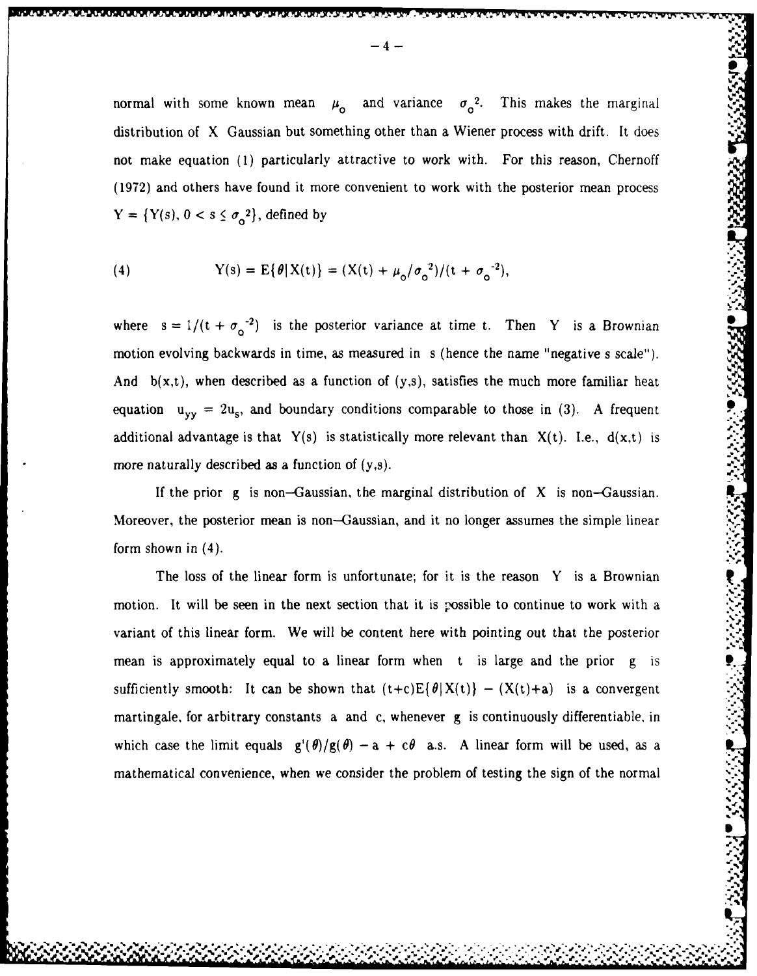normal with some known mean  $\mu_0$  and variance  $\sigma_0^2$ . This makes the marginal distribution of X Gaussian but something other than a Wiener process with drift. It does not make equation (1) particularly attractive to work with. For this reason, Chernoff (1972) and others have found it more convenient to work with the posterior mean process  $Y = \{Y(s), 0 < s \leq \sigma_0^2\}$ , defined by

(4) 
$$
Y(s) = E\{\theta | X(t)\} = (X(t) + \mu_0/\sigma_0^2)/(t + \sigma_0^{-2}),
$$

where  $s = 1/(t + \sigma_0^{-2})$  is the posterior variance at time t. Then Y is a Brownian motion evolving backwards in time, as measured in s (hence the name "negative s scale"). And  $b(x,t)$ , when described as a function of  $(y,s)$ , satisfies the much more familiar heat equation  $u_{yy} = 2u_s$ , and boundary conditions comparable to those in (3). A frequent additional advantage is that  $Y(s)$  is statistically more relevant than  $X(t)$ . I.e.,  $d(x,t)$  is more naturally described as a function of  $(y,s)$ .

**-.,S**

**-'P**

If the prior  $g$  is non-Gaussian, the marginal distribution of  $X$  is non-Gaussian. Moreover, the posterior mean is non-Gaussian, and it no longer assumes the simple linear form shown in (4).

The loss of the linear form is unfortunate; for it is the reason Y is a Brownian motion. It will be seen in the next section that it is possible to continue to work with a variant of this linear form. We will be content here with pointing out that the posterior mean is approximately equal to a linear form when  $t$  is large and the prior  $g$  is sufficiently smooth: It can be shown that  $(t+c)E{\lbrace \theta | X(t) \rbrace} - (X(t)+a)$  is a convergent martingale, for arbitrary constants a and c, whenever g is continuously differentiable, in which case the limit equals  $g'(\theta)/g(\theta) - a + c\theta$  a.s. A linear form will be used, as a mathematical convenience, when we consider the problem of testing the sign of the normal

• m **P** ? **/** W'' I . .. . . ? . - **' -**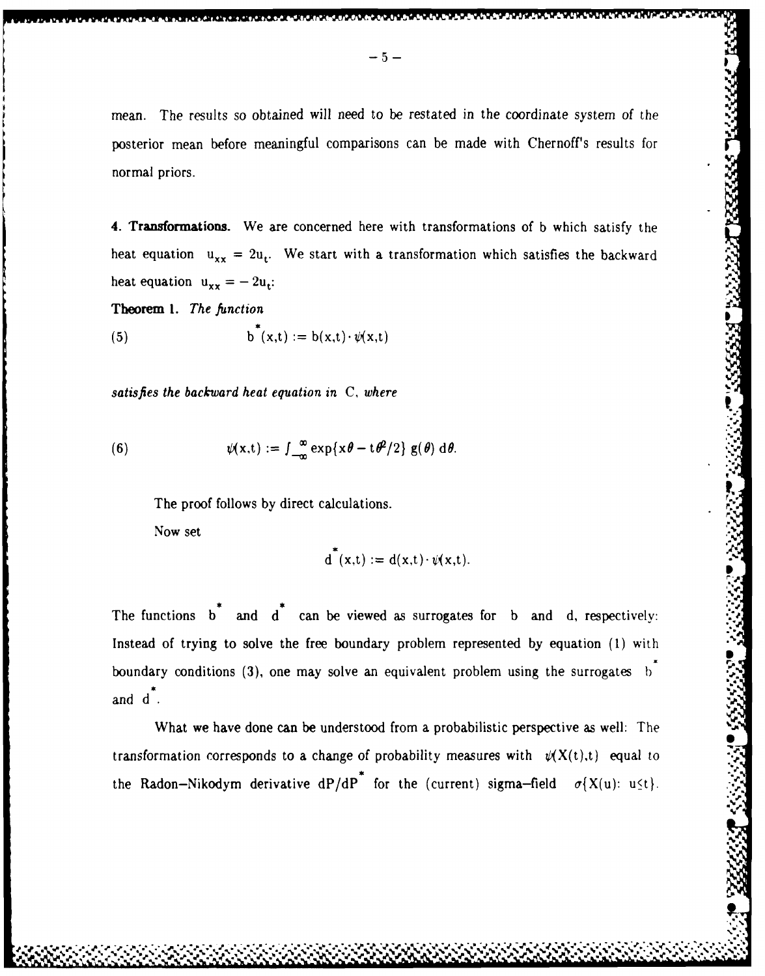mean. The results so obtained will need to be restated in the coordinate system of the posterior mean before meaningful comparisons can be made with Chernoff's results for normal priors.

4. Transformations. We are concerned here with transformations of b which satisfy the heat equation  $u_{xx} = 2u_t$ . We start with a transformation which satisfies the backward heat equation  $u_{xx} = -2u_t$ :

.1"\*

Theorem **1.** *The function* **\*|**

(5) 
$$
b^{\text{T}}(x,t) := b(x,t) \cdot \psi(x,t)
$$

**satisfies the backward heat equation in C, where** 

(6) 
$$
\psi(x,t) := \int_{-\infty}^{\infty} \exp\{x\theta - t\theta^2/2\} g(\theta) d\theta.
$$

The proof follows by direct calculations.

Now set

$$
\overline{d}^{\!\top}(x,t):=d(x,t)\cdot\psi(x,t).
$$

The functions  $\overrightarrow{b}$  and  $\overrightarrow{d}$  can be viewed as surrogates for b and d, respectively: Instead of trying to solve the free boundary problem represented by equation (1) with<br>boundary conditions (3), one may solve an equivalent problem using the surrogates b<br>and d<sup>\*</sup>.<br>What we have done can be understood from boundary conditions (3), one may solve an equivalent problem using the surrogates **h** and **d.**

What we have done can be understood from a probabilistic perspective as well: The transformation corresponds to a change of probability measures with  $\psi(X(t),t)$  equal to the Radon-Nikodym derivative  $dP/dP^*$  for the (current) sigma-field  $\sigma\{X(u): u \le t\}$ .

**% % % % % .%**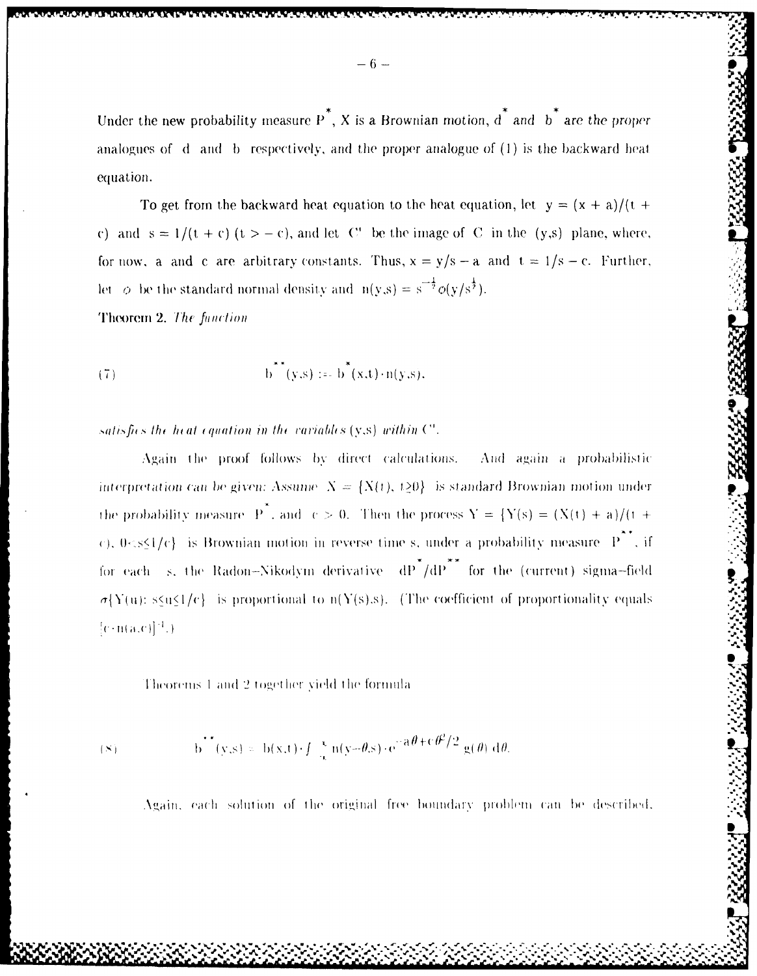Under the new probability measure  $P^*$ , X is a Brownian motion,  $d^*$  and  $b^*$  are the proper analogues of d and b respectively, and the proper analogue of  $(1)$  is the backward heat equation.

To get from the backward heat equation to the heat equation, let  $y = (x + a)/(t + a)$ c) and  $s = 1/(t + c)$   $(t > -c)$ , and let C<sup>t</sup> be the image of C in the (y,s) plane, where, for now, a and c are arbitrary constants. Thus,  $x = y/s - a$  and  $t = 1/s - c$ . Further, let  $\phi$  be the standard normal density and  $n(y,s) = s^{-\frac{1}{2}} \phi(y/s^{\frac{1}{2}})$ .

Theorem 2. The function

(7) 
$$
b^{*}(y,s) := b^{*}(x,t) \cdot n(y,s),
$$

satisfies the heat equation in the variables (y,s) within C'.

Again the proof follows by direct calculations. And again a probabilistic interpretation can be given: Assume  $X = \{X(t), t\geq0\}$  is standard Brownian motion under the probability measure  $P^*$ , and  $c > 0$ . Then the process  $Y = \{Y(s) = (X(t) + a)/(t + a)\}$ c),  $0 < s \leq 1/c$ } is Brownian motion in reverse time s, under a probability measure  $P^{**}$ , if for each s, the Radon-Nikodym derivative  $dP^*/dP^{**}$  for the (current) sigma-field  $\sigma\{Y(u): s\leq u\leq 1/c\}$  is proportional to n(Y(s),s). (The coefficient of proportionality equals  $[{\rm c \cdot n(a,c)}]^{-1}$ .)

○ ○ ● アメリングアン

Theorems 1 and 2 together vield the formula

$$
(8) \t\t\t b^{-1}(y,s) = b(x,t) \cdot \int_{-\infty}^{\infty} n(y-\theta,s) \cdot e^{-a\theta + C\theta^2/2} g(\theta) d\theta.
$$

Again, each solution of the original free boundary problem can be described,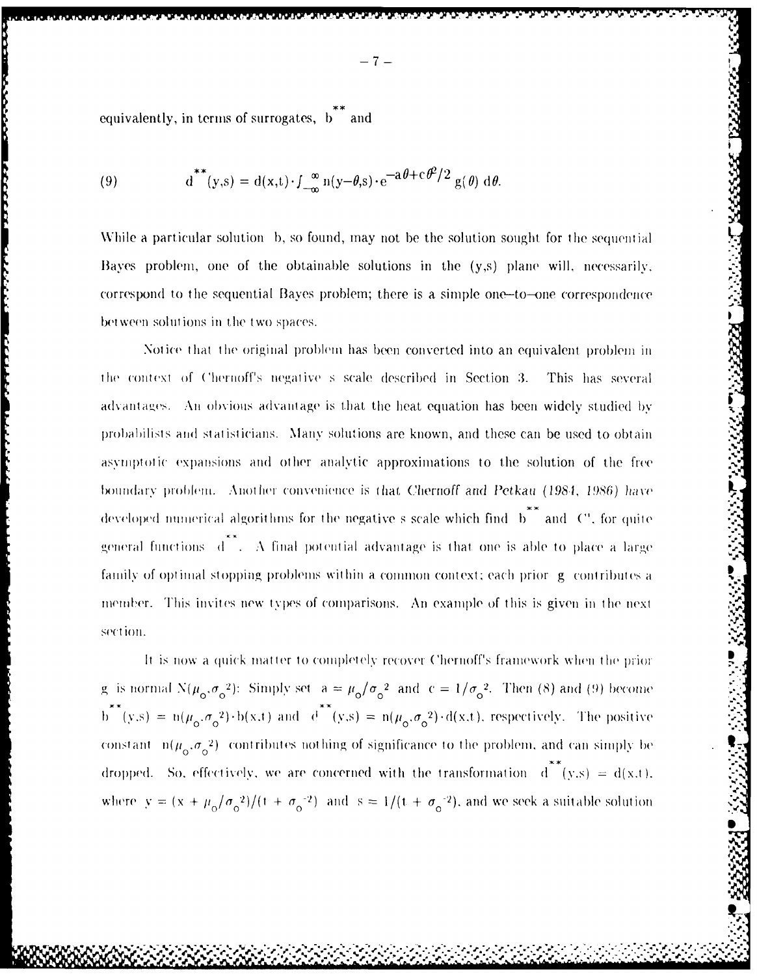equivalently, in terms of surrogates, b<sup>\*\*\*</sup> and

いこうしょうしょう こうこうしょう しょうしょう アイディング アイディスク しょうしょう

(9) 
$$
d^{**}(y,s) = d(x,t) \cdot \int_{-\infty}^{\infty} n(y-\theta,s) \cdot e^{-a\theta + c\theta^2/2} g(\theta) d\theta.
$$

While a particular solution b, so found, may not be the solution sought for the sequential Bayes problem, one of the obtainable solutions in the  $(y,s)$  plane will, necessarily, correspond to the sequential Bayes problem; there is a simple one-to-one correspondence between solutions in the two spaces.

Notice that the original problem has been converted into an equivalent problem in the context of Chernoff's negative s scale described in Section 3. This has several advantages. An obvious advantage is that the heat equation has been widely studied by probabilists and statisticians. Many solutions are known, and these can be used to obtain asymptotic expansions and other analytic approximations to the solution of the free boundary problem. Another convenience is that Chernoff and Petkau (1984, 1986) have developed numerical algorithms for the negative s scale which find  $b^*$  and  $C^*$ , for quite general functions  $\overrightarrow{d}$ . A final potential advantage is that one is able to place a large family of optimal stopping problems within a common context; each prior g contributes a member. This invites new types of comparisons. An example of this is given in the next section.

It is now a quick matter to completely recover Chernoff's framework when the prior g is normal  $N(\mu_o, \sigma_o^2)$ : Simply set  $a = \mu_o / \sigma_o^2$  and  $c = 1/\sigma_o^2$ . Then (8) and (9) become  $\overline{b}^*(y,s) = n(\mu_0, \sigma_0^2) \cdot b(x,t)$  and  $\overline{d}^*(y,s) = n(\mu_0, \sigma_0^2) \cdot d(x,t)$ , respectively. The positive constant  $n(\mu_0, \sigma_0^2)$  contributes nothing of significance to the problem, and can simply be dropped. So, effectively, we are concerned with the transformation  $d^{**}(y.s) = d(x.t)$ . where  $y = (x + \mu_0/\sigma_0^2)/(t + \sigma_0^{-2})$  and  $s = 1/(t + \sigma_0^{-2})$ , and we seek a suitable solution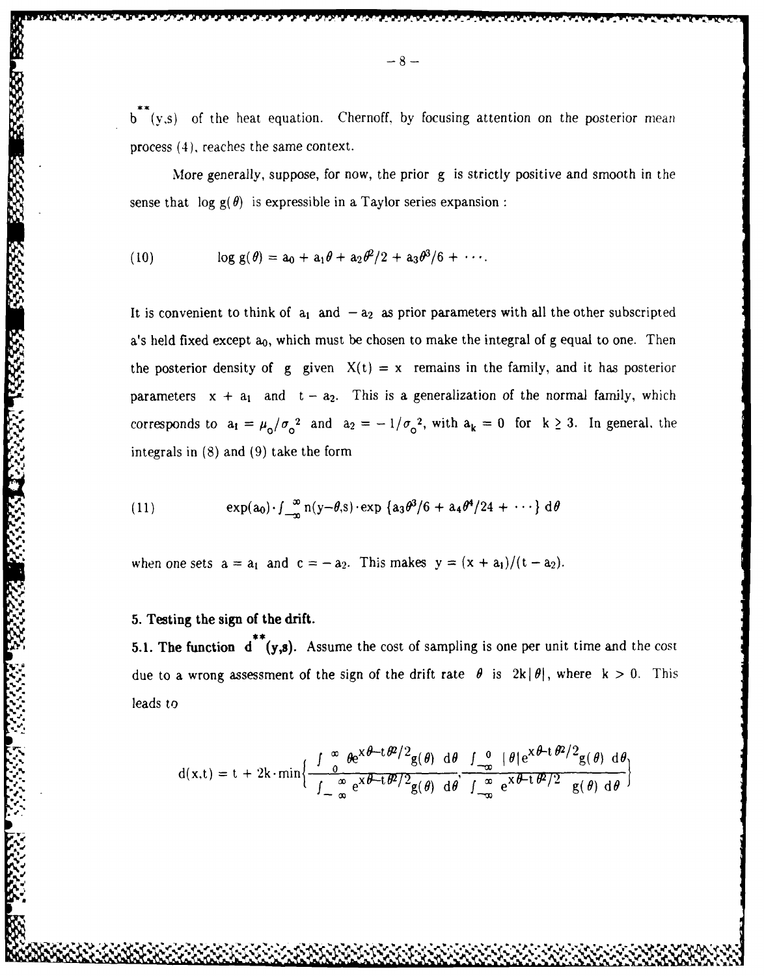$b^{\bullet\bullet}$  (y,s) of the heat equation. Chernoff, by focusing attention on the posterior mean process (4), reaches the same context.

More generally, suppose, for now, the prior g is strictly positive and smooth in the sense that  $\log g(\theta)$  is expressible in a Taylor series expansion:

(10) 
$$
\log g(\theta) = a_0 + a_1 \theta + a_2 \theta^2 / 2 + a_3 \theta^3 / 6 + \cdots
$$

It is convenient to think of  $a_1$  and  $-a_2$  as prior parameters with all the other subscripted a's held fixed except a<sub>0</sub>, which must be chosen to make the integral of g equal to one. Then the posterior density of g given  $X(t) = x$  remains in the family, and it has posterior parameters  $x + a_1$  and  $t - a_2$ . This is a generalization of the normal family, which corresponds to  $a_1 = \mu_0 / \sigma_0^2$  and  $a_2 = -1 / \sigma_0^2$ , with  $a_k = 0$  for  $k \ge 3$ . In general, the integrals in (8) and (9) take the form

$$
\exp(a_0) \cdot \int_{-\infty}^{\infty} n(y-\theta,s) \cdot \exp\left\{a_3\theta^3/6 + a_4\theta^4/24 + \cdots \right\} d\theta
$$

when one sets  $a = a_1$  and  $c = -a_2$ . This makes  $y = (x + a_1)/(t - a_2)$ .

## 5. Testing the sign of **the** drift.

*VXUXa* A - .

334444375

**R'?**

**a**

**5.1. The function**  $d^*(y,s)$ **.** Assume the cost of sampling is one per unit time and the cost due to a wrong assessment of the sign of the drift rate  $\theta$  is  $2k |\theta|$ , where  $k > 0$ . This leads to

$$
d(x,t) = t + 2k \cdot \min\left\{\frac{\int_{-\infty}^{\infty} \theta e^{x\theta - t\theta/2} g(\theta) d\theta}{\int_{-\infty}^{\infty} e^{x\theta - t\theta/2} g(\theta) d\theta}, \frac{\int_{-\infty}^{\infty} |\theta| e^{x\theta - t\theta/2} g(\theta) d\theta}{\int_{-\infty}^{\infty} e^{x\theta - t\theta/2} g(\theta) d\theta}\right\}
$$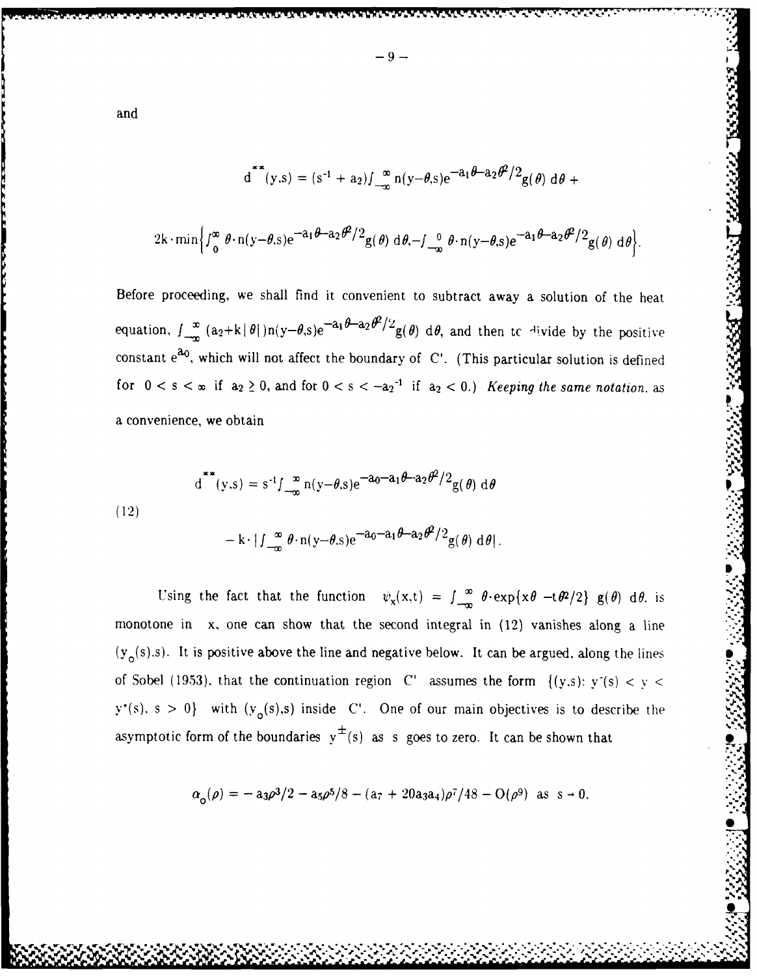$$
d^{**}(y,s) = (s^{-1} + a_2) \int_{-\infty}^{\infty} n(y-\theta,s) e^{-a_1 \theta - a_2 \theta^2} / 2 g(\theta) d\theta +
$$

PRANNA BASSAR I

$$
2\mathbf{k}\cdot\min\left\{\int_0^\infty\theta\cdot\mathbf{n}(\mathbf{y}-\theta,\mathbf{s})e^{-a_1\theta-a_2\theta^2/2}\mathbf{g}(\theta)\,\mathrm{d}\theta,-\int_{-\infty}^0\theta\cdot\mathbf{n}(\mathbf{y}-\theta,\mathbf{s})e^{-a_1\theta-a_2\theta^2/2}\mathbf{g}(\theta)\,\mathrm{d}\theta\right\}.
$$

Before proceeding, we shall find it convenient to subtract away a solution of the heat equation,  $\int_{-\infty}^{\infty} (a_2+k |\theta|)n(y-\theta,s)e^{-a_1\theta-a_2\theta^2/2}g(\theta) d\theta$ , and then tc <sup>-l</sup>ivide by the positive constant  $e^{a_0}$ , which will not affect the boundary of C'. (This particular solution is defined for  $0 < s < \infty$  if  $a_2 \ge 0$ , and for  $0 < s < -a_2^{-1}$  if  $a_2 < 0$ .) *Keeping the same notation*. as a convenience, we obtain

(12) 
$$
d^{**}(y,s) = s^{-1} \int_{-\infty}^{\infty} n(y-\theta,s)e^{-a_0-a_1\theta-a_2\theta^2/2}g(\theta) d\theta
$$

$$
-k \cdot | \int_{-\infty}^{\infty} \theta \cdot n(y-\theta,s) e^{-a_0-a_1\theta-a_2\theta^2/2} g(\theta) d\theta |.
$$

Using the fact that the function  $\psi_x(x,t) = \int_{-\infty}^{\infty} \theta \cdot \exp\{x\theta - t\theta^2/2\}$  g( $\theta$ ) d $\theta$ , is monotone in  $x$ , one can show that the second integral in  $(12)$  vanishes along a line  $(y_0(s),s)$ . It is positive above the line and negative below. It can be argued, along the lines of Sobel (1953), that the continuation region  $C'$  assumes the form  $\{(y,s): y^-(s) < y <$  $y^*(s)$ ,  $s > 0$ } with  $(y_o(s),s)$  inside C'. One of our main objectives is to describe the asymptotic form of the boundaries  $y^{\pm}(s)$  as s goes to zero. It can be shown that

$$
\alpha_{0}(\rho) = -a_{3}\rho^{3}/2 - a_{5}\rho^{5}/8 - (a_{7} + 20a_{3}a_{4})\rho^{7}/48 - O(\rho^{9}) \text{ as } s \to 0,
$$

and

*P-7-P- 77- %* **-0 7 -7 W-T** \*\*,%7Tr **t .-**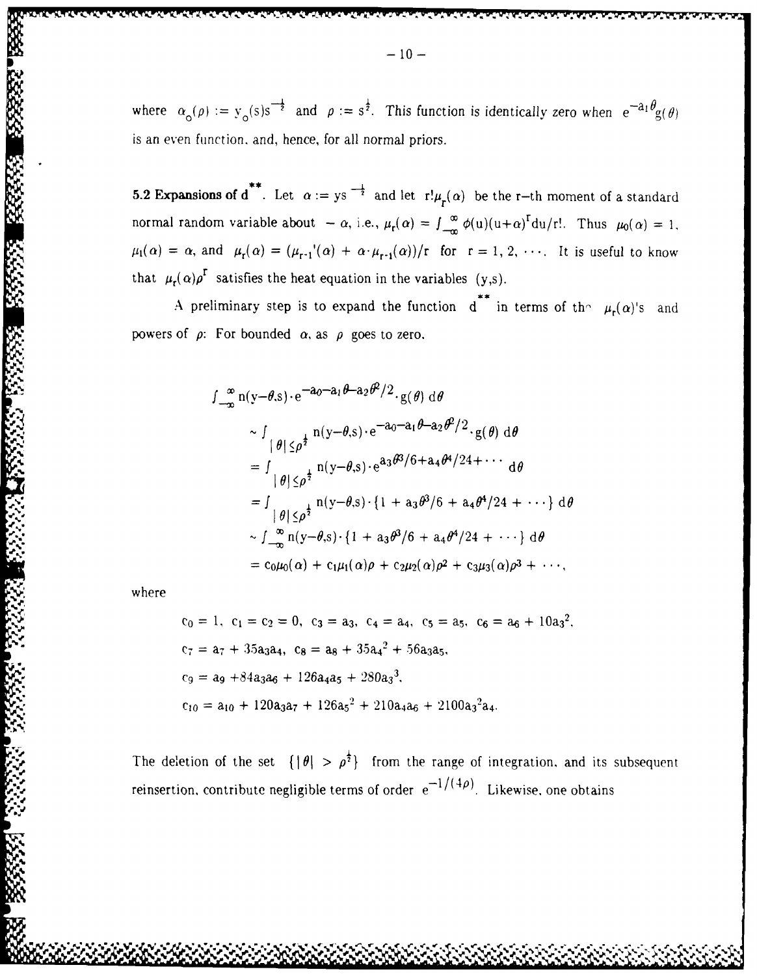where  $\alpha_0(\rho) := y_0(s) s^{-\frac{1}{2}}$  and  $\rho := s^{\frac{1}{2}}$ . This function is identically zero when  $e^{-a_1 \theta} g(\theta)$ is an even function, and, hence, for all normal priors.

5.2 Expansions of d<sup>\*\*</sup>. Let  $\alpha := y s^{-\frac{1}{2}}$  and let  $r! \mu_r(\alpha)$  be the r-th moment of a standard normal random variable about  $-\alpha$ , i.e.,  $\mu_r(\alpha) = \int_{-\infty}^{\infty} \phi(u)(u+\alpha)^r du/r!$ . Thus  $\mu_0(\alpha) = 1$ .  $\mu_1(\alpha) = \alpha$ , and  $\mu_r(\alpha) = (\mu_{r-1}'(\alpha) + \alpha \cdot \mu_{r-1}(\alpha))/r$  for  $r = 1, 2, \cdots$ . It is useful to know that  $\mu_r(\alpha)\rho^r$  satisfies the heat equation in the variables (y,s).

A preliminary step is to expand the function  $d^{**}$  in terms of the  $\mu_r(\alpha)$ 's and powers of  $\rho$ : For bounded  $\alpha$ , as  $\rho$  goes to zero.

$$
\int_{-\infty}^{\infty} n(y-\theta,s) \cdot e^{-a_0-a_1\theta-a_2\theta^2/2} \cdot g(\theta) d\theta
$$
  
\n
$$
\sim \int_{\left|\theta\right| \leq \rho^{\frac{1}{2}}} n(y-\theta,s) \cdot e^{-a_0-a_1\theta-a_2\theta^2/2} \cdot g(\theta) d\theta
$$
  
\n
$$
= \int_{\left|\theta\right| \leq \rho^{\frac{1}{2}}} n(y-\theta,s) \cdot e^{a_3\theta^3/6 + a_4\theta^4/24 + \cdots} d\theta
$$
  
\n
$$
= \int_{\left|\theta\right| \leq \rho^{\frac{1}{2}}} n(y-\theta,s) \cdot \left\{1 + a_3\theta^3/6 + a_4\theta^4/24 + \cdots\right\} d\theta
$$
  
\n
$$
\sim \int_{-\infty}^{\infty} n(y-\theta,s) \cdot \left\{1 + a_3\theta^3/6 + a_4\theta^4/24 + \cdots\right\} d\theta
$$
  
\n
$$
= c_0\mu_0(\alpha) + c_1\mu_1(\alpha)\rho + c_2\mu_2(\alpha)\rho^2 + c_3\mu_3(\alpha)\rho^3 + \cdots,
$$

where

 $c_0 = 1$ ,  $c_1 = c_2 = 0$ ,  $c_3 = a_3$ ,  $c_4 = a_4$ ,  $c_5 = a_5$ ,  $c_6 = a_6 + 10a_3^2$ ,  $c_7 = a_7 + 35a_3a_4$ ,  $c_8 = a_8 + 35a_4^2 + 56a_3a_5$ ,  $c_9 = a_9 + 84a_3a_6 + 126a_4a_5 + 280a_3^3$  $c_{10} = a_{10} + 120a_3a_7 + 126a_5^2 + 210a_4a_6 + 2100a_3^2a_4.$ 

The deletion of the set  $\{|\theta| > \rho^{\frac{1}{2}}\}$  from the range of integration, and its subsequent reinsertion, contribute negligible terms of order  $e^{-1/(4\rho)}$ . Likewise, one obtains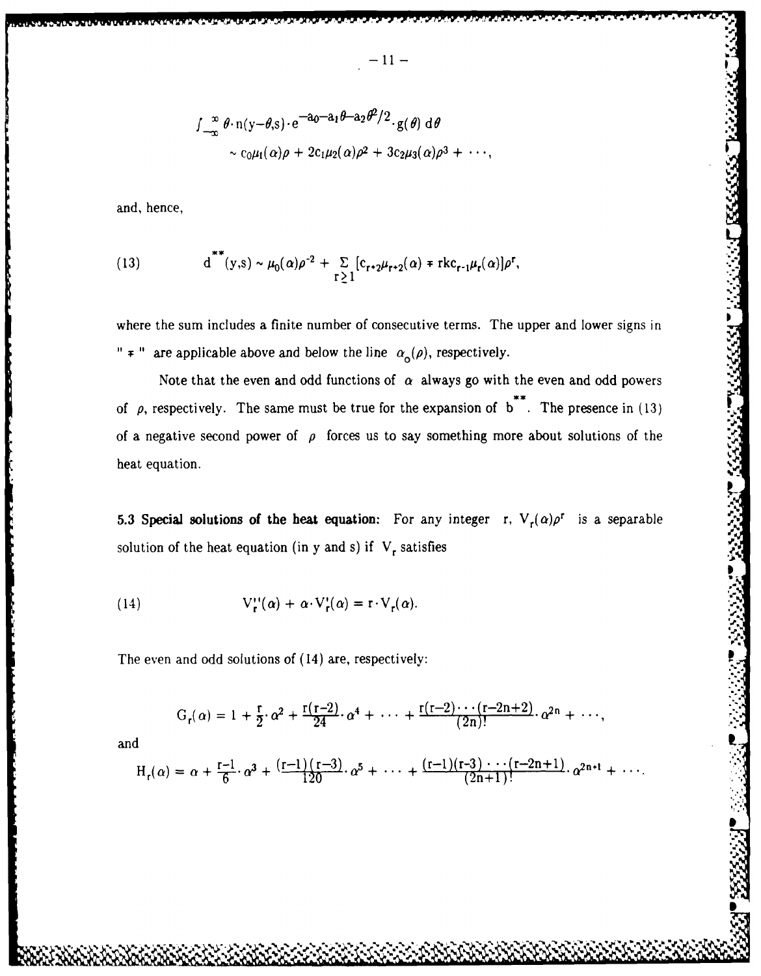$$
\int_{-\infty}^{\infty} \theta \cdot n(y-\theta,s) \cdot e^{-a_0-a_1\theta-a_2\theta^2/2} \cdot g(\theta) d\theta
$$
  
 
$$
\sim c_0\mu_1(\alpha)\rho + 2c_1\mu_2(\alpha)\rho^2 + 3c_2\mu_3(\alpha)\rho^3 + \cdots,
$$

and, hence, **with a set of the set of the set of the set of the set of the set of the set of the set of the set of the set of the set of the set of the set of the set of the set of the set of the set of the set of the set** 

(13) 
$$
d^{**}(y,s) \sim \mu_0(\alpha)\rho^{-2} + \sum_{r \geq 1} [c_{r+2}\mu_{r+2}(\alpha) \pm \text{rk}c_{r-1}\mu_r(\alpha)]\rho^r,
$$

where the sum includes a finite number of consecutive terms. The upper and lower signs in "  $\neq$  " are applicable above and below the line  $\alpha_0(\rho)$ , respectively.

 $d^{**}(y,s) \sim \mu_0(\alpha)\rho^{-2} + \sum_{r\geq 1} [c_{r+2}\mu_{r+2}(\alpha) * rkc_{r-1}\mu_r(\alpha)]\rho^r$ ,<br>the sum includes a finite number of consecutive terms. The upper and lower signs in<br>are applicable above and below the line  $\alpha_0(\rho)$ , respectively.<br>Note of  $\rho$ , respectively. The same must be true for the expansion of  $b^*$ . The presence in (13) of a negative second power of  $\rho$  forces us to say something more about solutions of the heat equation.

**5.3 Special solutions of the heat equation:** For any integer r,  $V_r(\alpha)\rho^r$  is a separable solution of the heat equation (in y and s) if  $V_r$  satisfies

(14) 
$$
V_{r}''(\alpha) + \alpha \cdot V_{r}'(\alpha) = r \cdot V_{r}(\alpha).
$$

The even and odd solutions of  $(14)$  are, respectively:

$$
G_r(\alpha) = 1 + \frac{r}{2} \cdot \alpha^2 + \frac{r(r-2)}{24} \cdot \alpha^4 + \cdots + \frac{r(r-2) \cdots (r-2n+2)}{(2n)!} \cdot \alpha^{2n} + \cdots,
$$

and  $\mathbf{P}_{\cdot}$ 

$$
H_r(\alpha) = \alpha + \frac{r-1}{6} \cdot \alpha^3 + \frac{(r-1)(r-3)}{120} \cdot \alpha^5 + \cdots + \frac{(r-1)(r-3) \cdots (r-2n+1)}{(2n+1)!} \cdot \alpha^{2n+1} + \cdots
$$

**..**

**:-S.**

, **"S**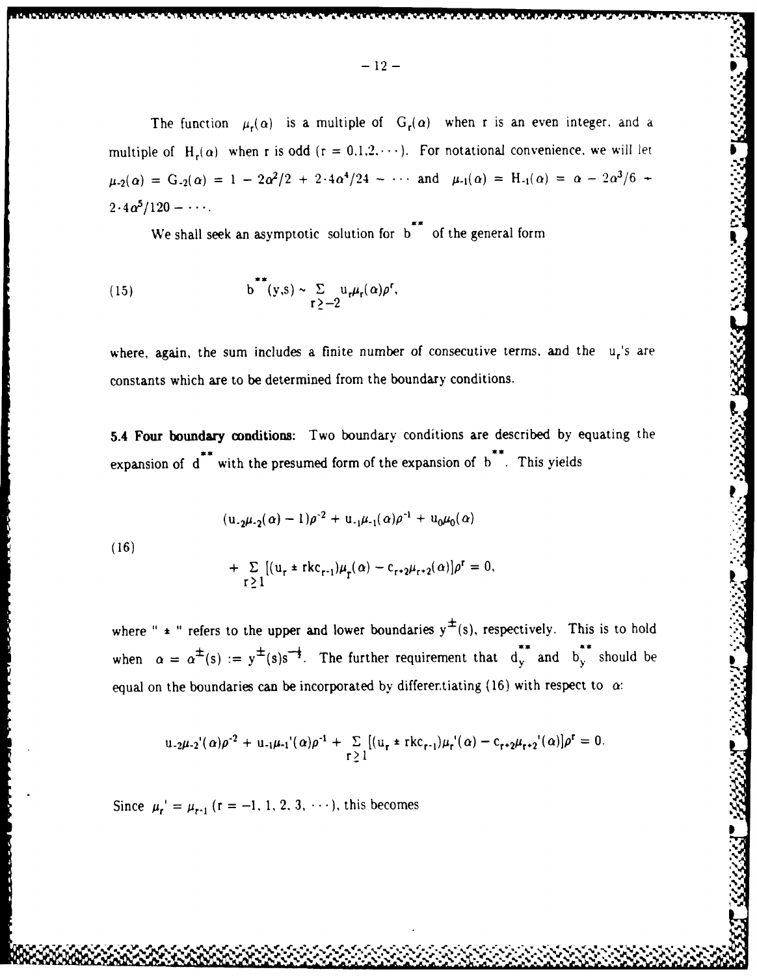The function  $\mu_r(\alpha)$  is a multiple of  $G_r(\alpha)$  when r is an even integer, and a multiple of  $H_r(\alpha)$  when r is odd (r = 0,1,2, ...). For notational convenience, we will let  $\mu_{-2}(\alpha) = G_{-2}(\alpha) = 1 - 2\alpha^2/2 + 2 \cdot 4\alpha^4/24 - \cdots$  and  $\mu_{-1}(\alpha) = H_{-1}(\alpha) = \alpha - 2\alpha^3/6$  $2.4 \alpha^5 / 120 - \cdots$ 

We shall seek an asymptotic solution for  $b^*$  of the general form

(15) 
$$
b^{**}(y,s) \sim \sum_{r \geq -2} u_r \mu_r(\alpha) \rho^r,
$$

where, again, the sum includes a finite number of consecutive terms, and the  $u_t$ 's are constants which are to be determined from the boundary conditions. where, again, the sum includes a finite number of consecutive terms, and the  $u_r$ 's are<br>
constants which are to be determined from the boundary conditions.<br>
5.4 Four boundary conditions: Two boundary conditions are descri

expansion of  $\int_{0}^{**}$  with the presumed form of the expansion of  $\int_{0}^{**}$ . This yields

**PS**

**ACCESSIVE AND ACCESS AND ACCESS** 

$$
(u_{-2}\mu_{-2}(\alpha)-1)\rho^{-2}+u_{-1}\mu_{-1}(\alpha)\rho^{-1}+u_0\mu_0(\alpha)
$$

(16)

$$
+\sum_{r\geq 1}[(u_r\pm \mathrm{rk} c_{r-1})\mu_r(\alpha)-c_{r+2}\mu_{r+2}(\alpha)]\rho^r=0,
$$

where "  $\star$  " refers to the upper and lower boundaries  $y^{\pm}(s)$ , respectively. This is to hold when  $\alpha = \alpha^{\pm}(s) := y^{\pm}(s) s^{-\frac{1}{2}}$ . The further requirement that  $d_{y}^{**}$  and  $b_{y}^{**}$  should be equal on the boundaries can be incorporated by differentiating (16) with respect to  $\alpha$ :

$$
u_{-2}\mu_{-2}(\alpha)\rho^{-2} + u_{-1}\mu_{-1}(\alpha)\rho^{-1} + \sum_{r \geq 1} [(u_r \pm \text{rk}c_{r-1})\mu_r(\alpha) - c_{r+2}\mu_{r+2}(\alpha)]\rho^r = 0.
$$

Since  $\mu_r' = \mu_{r-1}$  ( $r = -1, 1, 2, 3, \cdots$ ), this becomes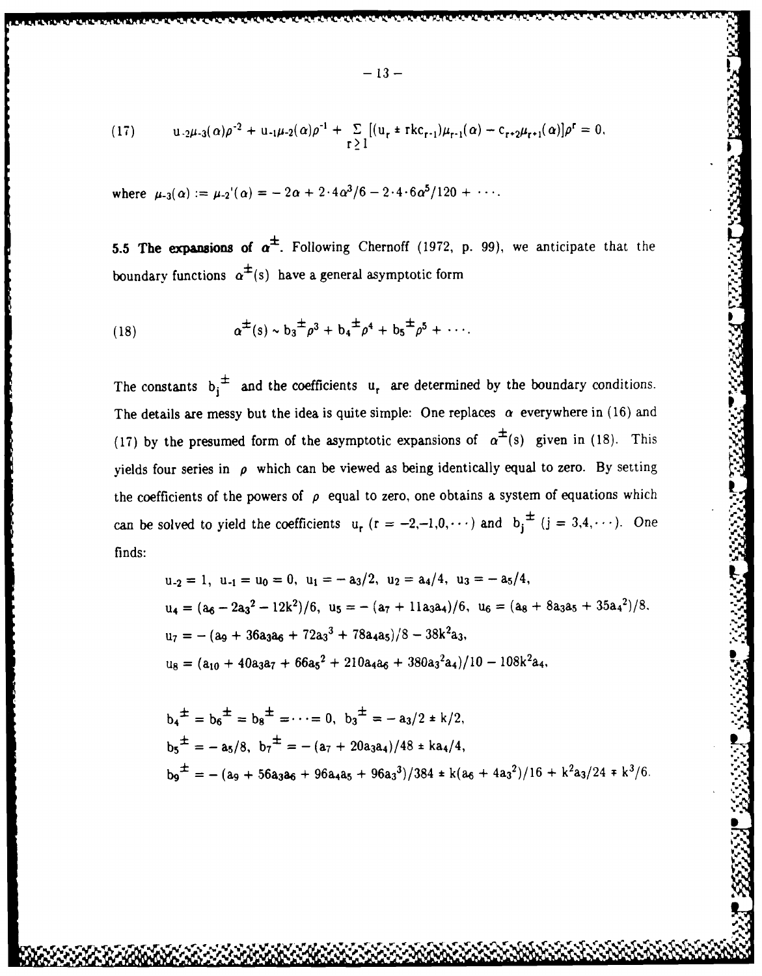(17) 
$$
u_{-2}\mu_{-3}(\alpha)\rho^{-2} + u_{-1}\mu_{-2}(\alpha)\rho^{-1} + \sum_{r \geq 1} [(u_r \pm \text{rk}c_{r-1})\mu_{r-1}(\alpha) - c_{r+2}\mu_{r+1}(\alpha)]\rho^r = 0,
$$

where  $\mu_{-3}(\alpha) := \mu_{-2}'(\alpha) = -2\alpha + 2 \cdot 4\alpha^3/6 - 2 \cdot 4 \cdot 6\alpha^5/120 + \cdots$ 

**5.5 The expansions of**  $\alpha^{\pm}$ **.** Following Chernoff (1972, p. 99), we anticipate that the boundary functions  $\alpha^{\pm}(s)$  have a general asymptotic form

(18) 
$$
\alpha^{\pm}(s) \sim b_3^{\pm} \rho^3 + b_4^{\pm} \rho^4 + b_5^{\pm} \rho^5 + \cdots
$$

The constants  $b_i^{\pm}$  and the coefficients  $u_r$  are determined by the boundary conditions. The details are messy but the idea is quite simple: One replaces  $\alpha$  everywhere in (16) and (17) by the presumed form of the asymptotic expansions of  $\alpha^{\pm}(s)$  given in (18). This yields four series in  $\rho$  which can be viewed as being identically equal to zero. By setting the coefficients of the powers of  $\rho$  equal to zero, one obtains a system of equations which can be solved to yield the coefficients  $u_r$  ( $r = -2, -1, 0, \cdots$ ) and  $b_j^{\pm}$  ( $j = 3, 4, \cdots$ ). One finds: **"1**

$$
u_{-2} = 1, u_{-1} = u_0 = 0, u_1 = -a_3/2, u_2 = a_4/4, u_3 = -a_5/4,
$$
  
\n
$$
u_4 = (a_6 - 2a_3^2 - 12k^2)/6, u_5 = -(a_7 + 11a_3a_4)/6, u_6 = (a_8 + 8a_3a_5 + 35a_4^2)/8,
$$
  
\n
$$
u_7 = -(a_9 + 36a_3a_6 + 72a_3^3 + 78a_4a_5)/8 - 38k^2a_3,
$$
  
\n
$$
u_8 = (a_{10} + 40a_3a_7 + 66a_5^2 + 210a_4a_6 + 380a_3^2a_4)/10 - 108k^2a_4,
$$

$$
b_4^{\pm} = b_6^{\pm} = b_8^{\pm} = \cdots = 0, \ b_3^{\pm} = -a_3/2 \pm k/2,
$$
  
\n
$$
b_5^{\pm} = -a_5/8, \ b_7^{\pm} = -(a_7 + 20a_3a_4)/48 \pm ka_4/4,
$$
  
\n
$$
b_9^{\pm} = -(a_9 + 56a_3a_6 + 96a_4a_5 + 96a_3^3)/384 \pm k(a_6 + 4a_3^2)/16 + k^2a_3/24 \pm k^3/6
$$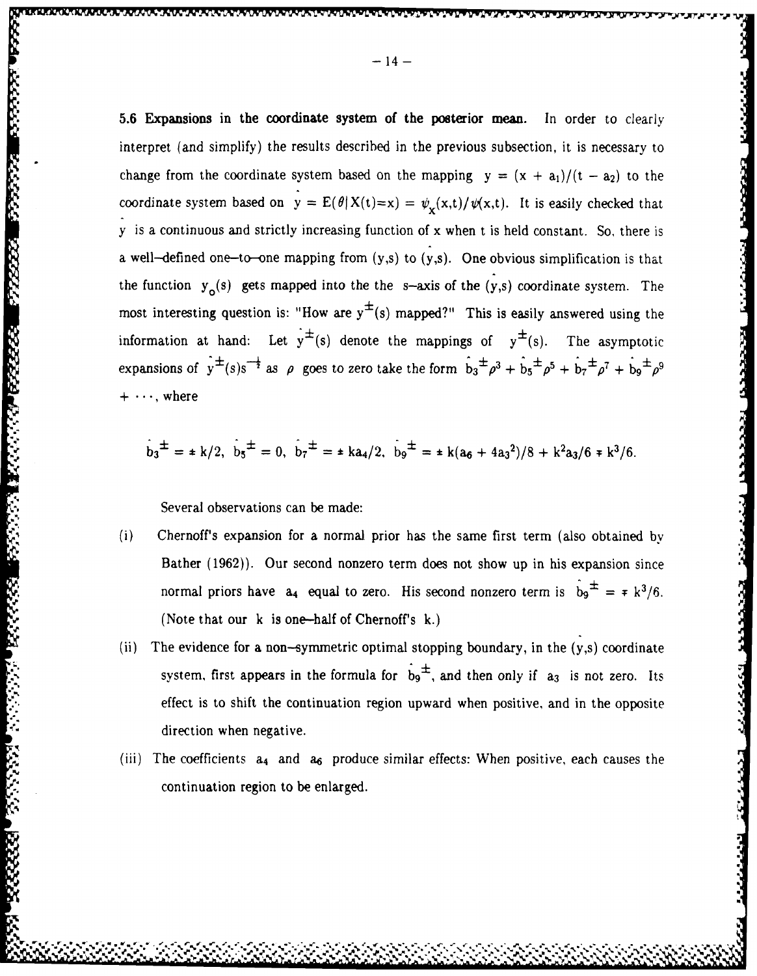**5.6** Expansions in the coordinate system of the posterior mean. In order to clearly interpret (and simplify) the results described in the previous subsection, it is necessary to change from the coordinate system based on the mapping  $y = (x + a_1)/(t - a_2)$  to the coordinate system based on  $y = E(\theta|X(t)=x) = \psi_X(x,t)/\psi(x,t)$ . It is easily checked that y is a continuous and strictly increasing function of x when t is held constant. So, there is a well-defined one-to-one mapping from  $(y,s)$  to  $(y,s)$ . One obvious simplification is that the function  $y_o(s)$  gets mapped into the the s-axis of the  $(y,s)$  coordinate system. The most interesting question is: "How are  $y^{\pm}(s)$  mapped?" This is easily answered using the information at hand: Let  $y^{\pm}(s)$  denote the mappings of  $y^{\pm}(s)$ . The asymptotic expansions of  $y^{\pm}(s)s^{-\frac{1}{2}}$  as  $\rho$  goes to zero take the form  $\hat{b}_3^{\pm}\rho^3 + \hat{b}_5^{\pm}\rho^5 + \hat{b}_7^{\pm}\rho^7 + \hat{b}_9^{\pm}\rho^9$  $+ \cdots$ , where

**DODO DE** 

FELECEEE

$$
\hat{b}_3^{\pm} = \pm k/2, \ \hat{b}_5^{\pm} = 0, \ \hat{b}_7^{\pm} = \pm k a_4/2, \ \hat{b}_9^{\pm} = \pm k (a_6 + 4 a_3^2)/8 + k^2 a_3/6 \pm k^3/6.
$$

Several observations can be made:

**A 1997 BASS CONTRACT BEES AND SEEKS CONTRACT SEEKS** 

533555

- (i) Chernoff's expansion for a normal prior has the same first term (also obtained by Bather (1962)). Our second nonzero term does not show up in his expansion since normal priors have  $a_4$  equal to zero. His second nonzero term is  $\hat{b}_9^{\pm} = \pm k^3/6$ . (Note that our k is one-half of Chernoff's k.)
- (ii) The evidence for a non-symmetric optimal stopping boundary, in the  $(y,s)$  coordinate system, first appears in the formula for  $\hat{b}_9^{\pm}$ , and then only if a<sub>3</sub> is not zero. Its effect is to shift the continuation region upward when positive, and in the opposite direction when negative.
- (iii) The coefficients  $a_4$  and  $a_6$  produce similar effects: When positive, each causes the continuation region to be enlarged.

5',-",-,-, **;-;.,'** *-,.* :.'2..- . -- '''-',".i: -2.:: '.,,'-'. -. ,",-. ..-. -:,'.--, ,,-,-,..-..,-o ,..-...,,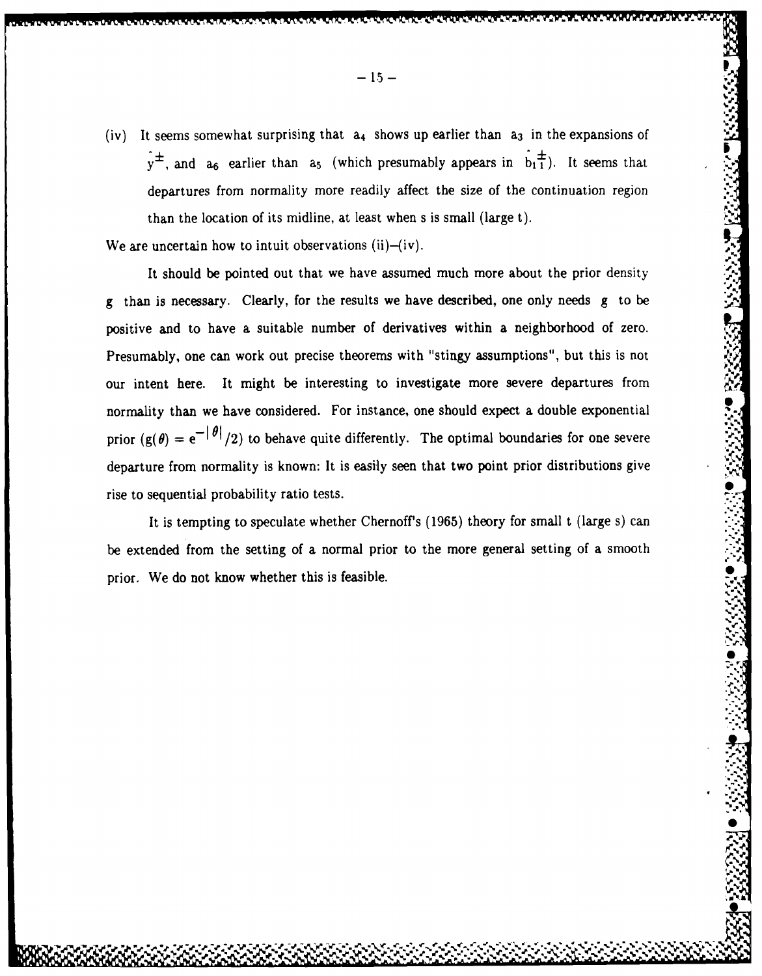(iv) It seems somewhat surprising that  $a_4$  shows up earlier than  $a_3$  in the expansions of  $y^{\pm}$ , and  $a_6$  earlier than  $a_5$  (which presumably appears in  $b_1^{\pm}$ ). It seems that departures from normality more readily affect the size of the continuation region than the location of its midline, at least when s is small (large t).

We are uncertain how to intuit observations (ii)-(iv).

It should be pointed out that we have assumed much more about the prior density g than is necessary. Clearly, for the results we have described, one only needs g to be positive and to have a suitable number of derivatives within a neighborhood of zero. Presumably, one can work out precise theorems with "stingy assumptions", but this is not our intent here. It might be interesting to investigate more severe departures from normality than we have considered. For instance, one should expect a double exponential prior  $(g(\theta) = e^{-|\theta|}/2)$  to behave quite differently. The optimal boundaries for one severe departure from normality is known: It is easily seen that two point prior distributions give **.4** rise to sequential probability ratio tests.

It is tempting to speculate whether Chernoffs (1965) theory for small t (large s) can be extended from the setting of a normal prior to the more general setting of a smooth prior. We do not know whether this is feasible.

5,%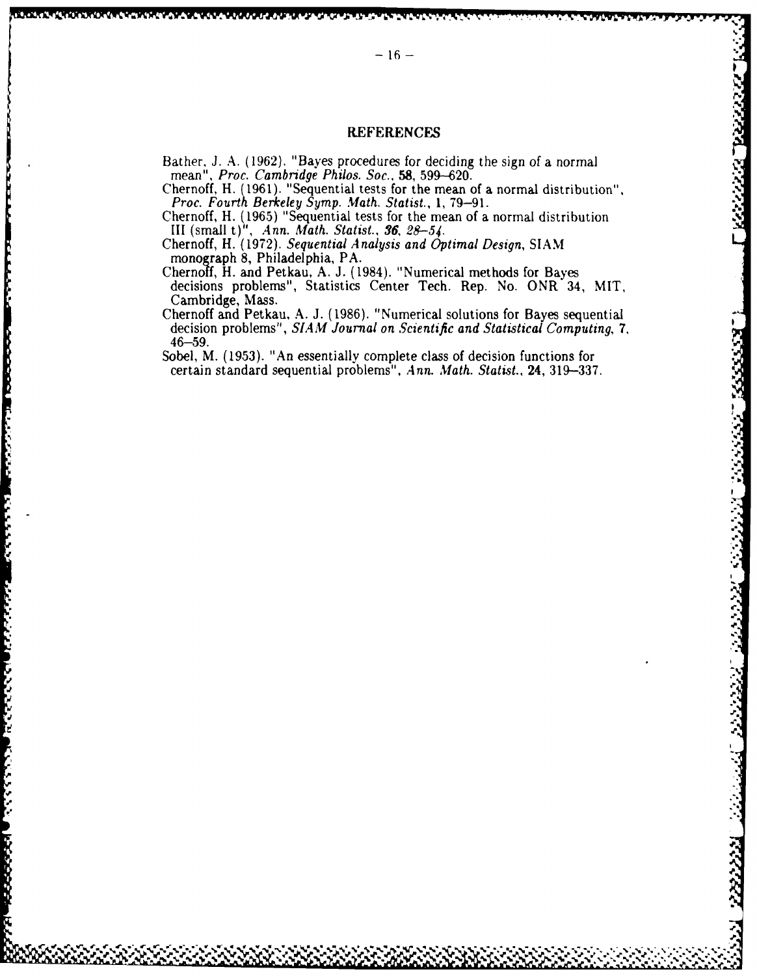Bather, **J. A. (1962).** "Bayes procedures for deciding the sign of a normal mean", *Proc. Cambridge Philos. Soc.,* **58, 599-620.**

Chernoff, H. **(1961).** "Sequential tests for the mean of a normal distribution", *Proc. Fourth Berkeley Symp. Math. Statist.,* **1, 79-91. '** Chernoff, H. **(1965)** "Sequential tests for the mean of a normal distribution

**III** (small **t)",** *Ann. Math. Statist., 36, 28--54.*

Chernoff, H. **(1972).** *Sequential Analysis and Optimal Design,* **SIAM** monograph **8,** Philadelphia, PA.

Chernoff, H. and Petkau, **A. J.** (1984). "Numerical methods for Bayes decisions problems", Statistics Center Tech. Rep. No. ONR 34, MIT, Cambridge, Mass.

Chernoff and Petkau, **A. J. (1986).** "Numerical solutions for Bayes sequential decision problems", *SlAM Journal on Scientific and Statistical Computing, 7,* 46-59.

**-I- -**

**,P**

**FAARA ARA** 

Sobel, M. **(1953).** "An essentially complete class of decision functions for certain standard sequential problems", *Ann. Math. Statist.,* **24, 319-337.**

**.4".**

**Contract of the Second** 

**The Property** 

*Contract in the Second States* 

**SERVICES**